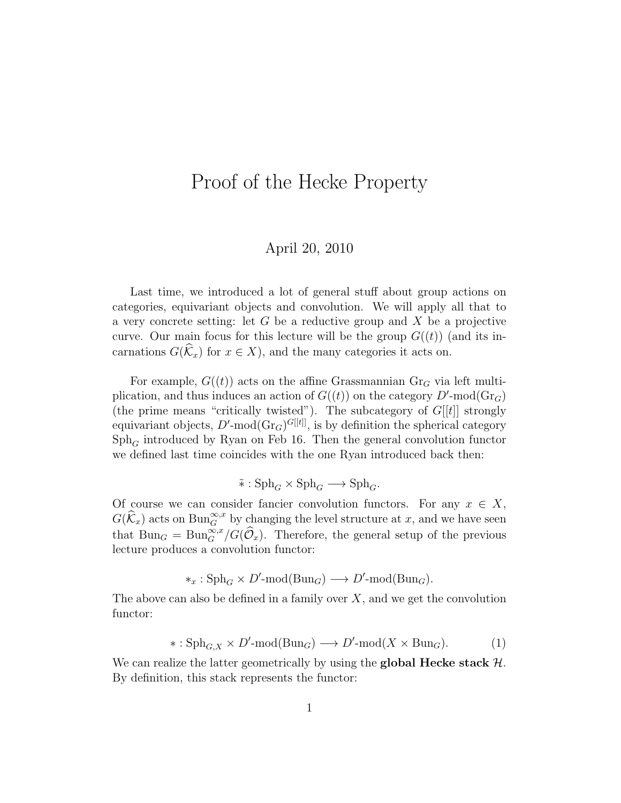## Proof of the Hecke Property

## April 20, 2010

Last time, we introduced a lot of general stuff about group actions on categories, equivariant objects and convolution. We will apply all that to a very concrete setting: let  $G$  be a reductive group and  $X$  be a projective curve. Our main focus for this lecture will be the group  $G((t))$  (and its incarnations  $G(\widehat{K}_x)$  for  $x \in X$ , and the many categories it acts on.

For example,  $G((t))$  acts on the affine Grassmannian  $Gr_G$  via left multiplication, and thus induces an action of  $G((t))$  on the category  $D'$ -mod $(\text{Gr}_G)$ (the prime means "critically twisted"). The subcategory of  $G[[t]]$  strongly equivariant objects,  $D'$ -mod $(\text{Gr}_G)^{G[[t]]}$ , is by definition the spherical category  $Sph<sub>G</sub>$  introduced by Ryan on Feb 16. Then the general convolution functor we defined last time coincides with the one Ryan introduced back then:

$$
\tilde{*}: \mathrm{Sph}_G \times \mathrm{Sph}_G \longrightarrow \mathrm{Sph}_G.
$$

Of course we can consider fancier convolution functors. For any  $x \in X$ ,  $G(\widehat{k}_x)$  acts on  $\text{Bun}_{G}^{\infty,x}$  by changing the level structure at x, and we have seen that  $Bun_G = Bun_G^{\infty,x}/G(\widehat{\mathcal{O}}_x)$ . Therefore, the general setup of the previous lecture produces a convolution functor:

$$
*_x : \mathrm{Sph}_G \times D' \text{-}\mathrm{mod}(\mathrm{Bun}_G) \longrightarrow D' \text{-}\mathrm{mod}(\mathrm{Bun}_G).
$$

The above can also be defined in a family over  $X$ , and we get the convolution functor:

$$
*:\mathrm{Sph}_{G,X} \times D' \text{-mod}(\mathrm{Bun}_G) \longrightarrow D' \text{-mod}(X \times \mathrm{Bun}_G). \tag{1}
$$

We can realize the latter geometrically by using the **global Hecke stack**  $H$ . By definition, this stack represents the functor: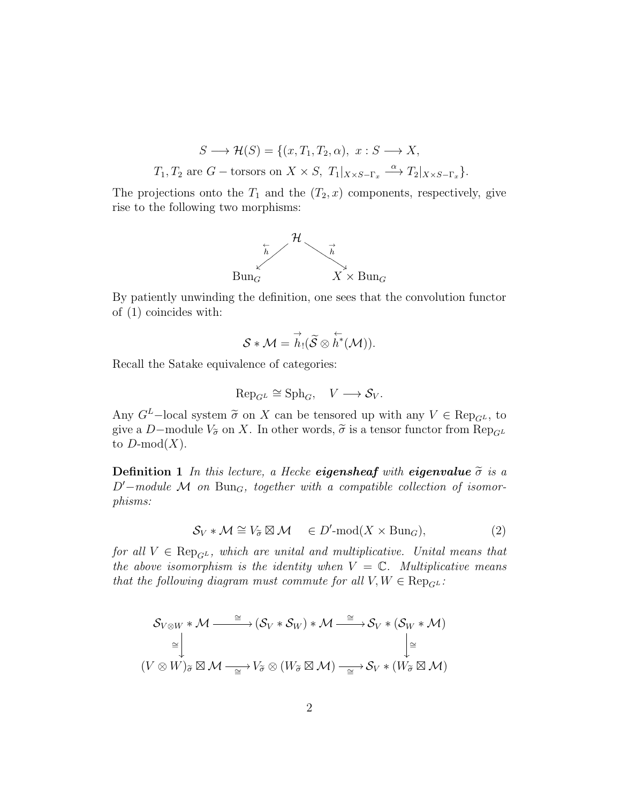$$
S \longrightarrow \mathcal{H}(S) = \{(x, T_1, T_2, \alpha), x : S \longrightarrow X,
$$
  

$$
T_1, T_2 \text{ are } G-\text{torsors on } X \times S, T_1|_{X \times S - \Gamma_x} \xrightarrow{\alpha} T_2|_{X \times S - \Gamma_x}.
$$

The projections onto the  $T_1$  and the  $(T_2, x)$  components, respectively, give rise to the following two morphisms:



By patiently unwinding the definition, one sees that the convolution functor of (1) coincides with:

$$
\mathcal{S} * \mathcal{M} = \overset{\rightarrow}{h}_! (\widetilde{\mathcal{S}} \otimes \overset{\leftarrow}{h}^* (\mathcal{M})).
$$

Recall the Satake equivalence of categories:

$$
\text{Rep}_{G^L} \cong \text{Sph}_G, \quad V \longrightarrow \mathcal{S}_V.
$$

Any  $G^L$ –local system  $\tilde{\sigma}$  on X can be tensored up with any  $V \in \text{Rep}_{G^L}$ , to give a D–module  $V_{\tilde{\sigma}}$  on X. In other words,  $\tilde{\sigma}$  is a tensor functor from  $\text{Rep}_{G^L}$ to  $D\text{-mod}(X)$ .

**Definition 1** In this lecture, a Hecke **eigensheaf** with **eigenvalue**  $\tilde{\sigma}$  is a  $D'-module \mathcal{M}$  on  $Bun_G$ , together with a compatible collection of isomorphisms:

$$
S_V * \mathcal{M} \cong V_{\widetilde{\sigma}} \boxtimes \mathcal{M} \quad \in D' \text{-mod}(X \times \text{Bun}_G), \tag{2}
$$

for all  $V \in \text{Rep}_{GL}$ , which are unital and multiplicative. Unital means that the above isomorphism is the identity when  $V = \mathbb{C}$ . Multiplicative means that the following diagram must commute for all  $V, W \in \text{Rep}_{GL}$ :

$$
\mathcal{S}_{V \otimes W} * \mathcal{M} \xrightarrow{\cong} (\mathcal{S}_V * \mathcal{S}_W) * \mathcal{M} \xrightarrow{\cong} \mathcal{S}_V * (\mathcal{S}_W * \mathcal{M})
$$
  
\n
$$
\cong \downarrow \qquad \qquad \downarrow \cong
$$
  
\n
$$
(V \otimes W)_{\widetilde{\sigma}} \boxtimes \mathcal{M} \xrightarrow{\cong} V_{\widetilde{\sigma}} \otimes (W_{\widetilde{\sigma}} \boxtimes \mathcal{M}) \xrightarrow{\cong} \mathcal{S}_V * (W_{\widetilde{\sigma}} \boxtimes \mathcal{M})
$$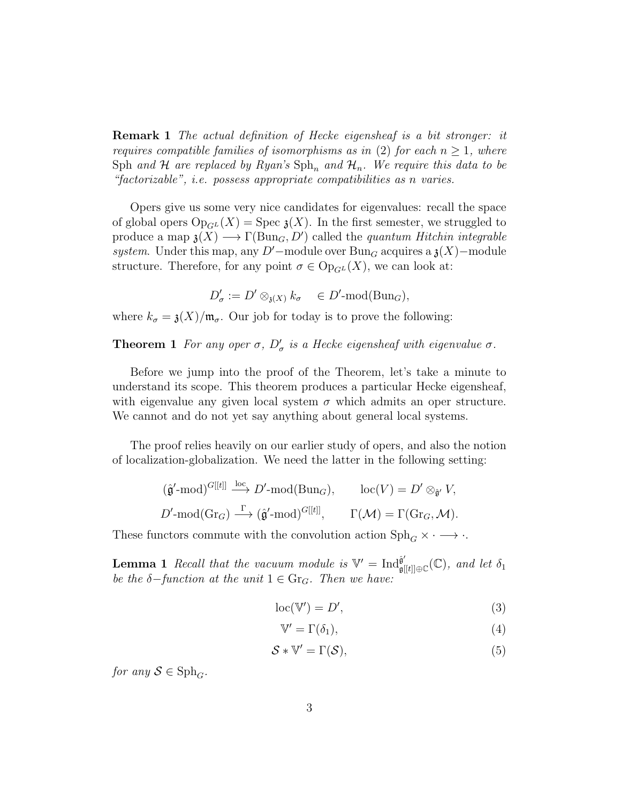Remark 1 The actual definition of Hecke eigensheaf is a bit stronger: it requires compatible families of isomorphisms as in (2) for each  $n \geq 1$ , where Sph and H are replaced by Ryan's  $\text{Sph}_n$  and  $\mathcal{H}_n$ . We require this data to be "factorizable", i.e. possess appropriate compatibilities as n varies.

Opers give us some very nice candidates for eigenvalues: recall the space of global opers  $Op_{GL}(X)$  = Spec  $\mathfrak{z}(X)$ . In the first semester, we struggled to produce a map  $\mathfrak{z}(X) \longrightarrow \Gamma(\text{Bun}_G, D')$  called the *quantum Hitchin integrable* system. Under this map, any D'-module over Bun<sub>G</sub> acquires a  $\chi(X)$ –module structure. Therefore, for any point  $\sigma \in \mathrm{Op}_{G^L}(X)$ , we can look at:

$$
D'_{\sigma} := D' \otimes_{\mathfrak{z}(X)} k_{\sigma} \quad \in D' \text{-mod}(\text{Bun}_G),
$$

where  $k_{\sigma} = \mathfrak{z}(X)/\mathfrak{m}_{\sigma}$ . Our job for today is to prove the following:

**Theorem 1** For any oper  $\sigma$ ,  $D'_{\sigma}$  is a Hecke eigensheaf with eigenvalue  $\sigma$ .

Before we jump into the proof of the Theorem, let's take a minute to understand its scope. This theorem produces a particular Hecke eigensheaf, with eigenvalue any given local system  $\sigma$  which admits an oper structure. We cannot and do not yet say anything about general local systems.

The proof relies heavily on our earlier study of opers, and also the notion of localization-globalization. We need the latter in the following setting:

$$
\begin{aligned}\n &\left(\hat{\mathfrak{g}}'-\text{mod}\right)^{G[[t]]} \xrightarrow{\text{loc}} D'-\text{mod}(\text{Bun}_G), \qquad \text{loc}(V) = D' \otimes_{\hat{\mathfrak{g}}'} V, \\
 &D'-\text{mod}(\text{Gr}_G) \xrightarrow{\Gamma} (\hat{\mathfrak{g}}'-\text{mod})^{G[[t]]}, \qquad \Gamma(\mathcal{M}) = \Gamma(\text{Gr}_G, \mathcal{M}).\n \end{aligned}
$$

These functors commute with the convolution action  $\text{Sph}_G \times \cdot \longrightarrow \cdot$ .

**Lemma 1** Recall that the vacuum module is  $V' = Ind_{\sigma}^{\hat{\theta}}$  $^{\hat{\mathfrak{g}}'}_{\mathfrak{g}[[t]]\oplus \mathbb{C}}(\mathbb{C}), \ and \ let \ \delta_1$ be the  $\delta$ -function at the unit  $1 \in \text{Gr}_G$ . Then we have:

$$
loc(\mathbb{V}') = D',\tag{3}
$$

$$
\mathbb{V}' = \Gamma(\delta_1),\tag{4}
$$

$$
S * \mathbb{V}' = \Gamma(S),\tag{5}
$$

for any  $S \in \mathrm{Sph}_G$ .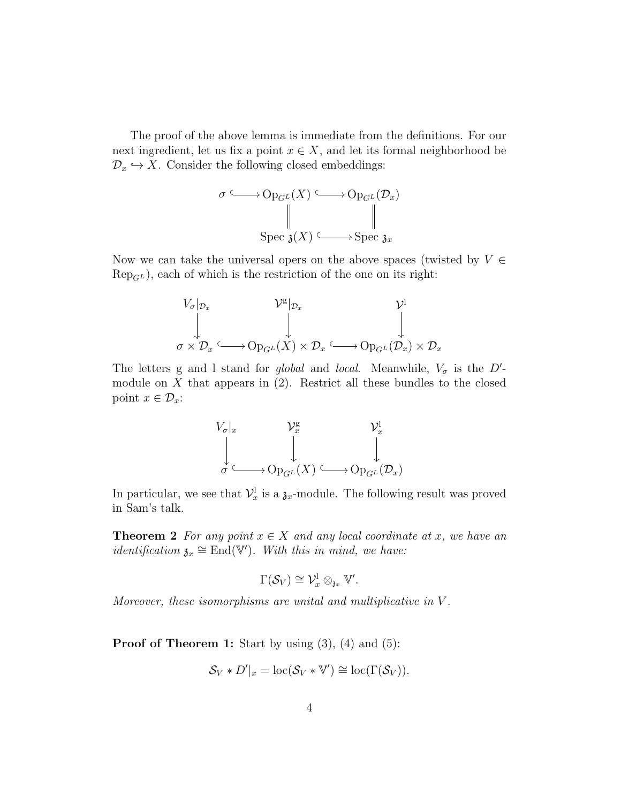The proof of the above lemma is immediate from the definitions. For our next ingredient, let us fix a point  $x \in X$ , and let its formal neighborhood be  $\mathcal{D}_x \hookrightarrow X$ . Consider the following closed embeddings:

$$
\sigma \longrightarrow \mathrm{Op}_{G^L}(X) \longrightarrow \mathrm{Op}_{G^L}(\mathcal{D}_x)
$$
  
\n
$$
\parallel \qquad \qquad \downarrow \qquad \qquad \parallel
$$
  
\n
$$
\mathrm{Spec} \, \mathfrak{z}(X) \longrightarrow \mathrm{Spec} \, \mathfrak{z}_x
$$

Now we can take the universal opers on the above spaces (twisted by  $V \in$  $\text{Rep}_{GL}$ ), each of which is the restriction of the one on its right:

$$
V_{\sigma}|_{\mathcal{D}_x} \longrightarrow \mathcal{V}^{\mathcal{B}}|_{\mathcal{D}_x} \longrightarrow \mathcal{V}^{\mathcal{B}}|_{\mathcal{D}_x}
$$
  
\n
$$
\downarrow \qquad \qquad \downarrow \qquad \qquad \downarrow
$$
  
\n
$$
\sigma \times \mathcal{D}_x \longrightarrow \mathrm{Op}_{G^L}(X) \times \mathcal{D}_x \longrightarrow \mathrm{Op}_{G^L}(\mathcal{D}_x) \times \mathcal{D}_x
$$

The letters g and l stand for global and local. Meanwhile,  $V_{\sigma}$  is the D'module on  $X$  that appears in  $(2)$ . Restrict all these bundles to the closed point  $x \in \mathcal{D}_x$ :

$$
\begin{array}{ccc}\nV_{\sigma}|_x & & \mathcal{V}_x^{\mathbf{g}} & & \mathcal{V}_x^{\mathbf{l}} \\
\downarrow & & \downarrow & & \downarrow \\
\sigma & \longrightarrow \mathrm{Op}_{G^L}(X) & \longrightarrow \mathrm{Op}_{G^L}(\mathcal{D}_x)\n\end{array}
$$

In particular, we see that  $\mathcal{V}_x^{\mathbf{l}}$  is a  $\mathfrak{z}_x$ -module. The following result was proved in Sam's talk.

**Theorem 2** For any point  $x \in X$  and any local coordinate at x, we have an *identification*  $\mathfrak{z}_x \cong \text{End}(\mathbb{V}')$ . With this in mind, we have:

$$
\Gamma(\mathcal{S}_V) \cong \mathcal{V}_x^{\mathbf{l}} \otimes_{\mathfrak{z}_x} \mathbb{V}'.
$$

Moreover, these isomorphisms are unital and multiplicative in V .

**Proof of Theorem 1:** Start by using  $(3)$ ,  $(4)$  and  $(5)$ :

$$
\mathcal{S}_V * D'|_x = \mathrm{loc}(\mathcal{S}_V * \mathbb{V}') \cong \mathrm{loc}(\Gamma(\mathcal{S}_V)).
$$